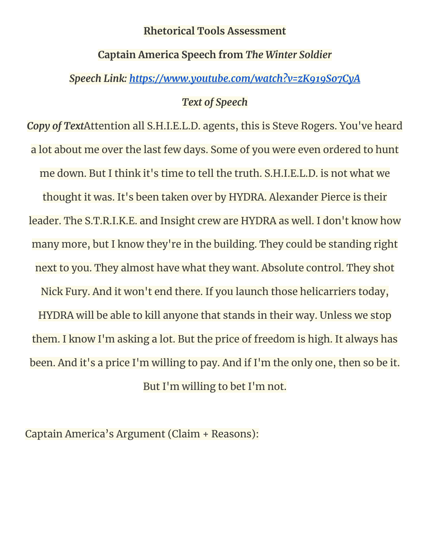#### **Rhetorical Tools Assessment**

## **Captain America Speech from** *The Winter Soldier*

## *Speech Link: <https://www.youtube.com/watch?v=zK919So7CyA>*

#### *Text of Speech*

*Copy of Text*Attention all S.H.I.E.L.D. agents, this is Steve Rogers. You've heard a lot about me over the last few days. Some of you were even ordered to hunt me down. But I think it's time to tell the truth. S.H.I.E.L.D. is not what we thought it was. It's been taken over by HYDRA. Alexander Pierce is their leader. The S.T.R.I.K.E. and Insight crew are HYDRA as well. I don't know how many more, but I know they're in the building. They could be standing right next to you. They almost have what they want. Absolute control. They shot Nick Fury. And it won't end there. If you launch those helicarriers today, HYDRA will be able to kill anyone that stands in their way. Unless we stop them. I know I'm asking a lot. But the price of freedom is high. It always has been. And it's a price I'm willing to pay. And if I'm the only one, then so be it. But I'm willing to bet I'm not.

Captain America's Argument (Claim + Reasons):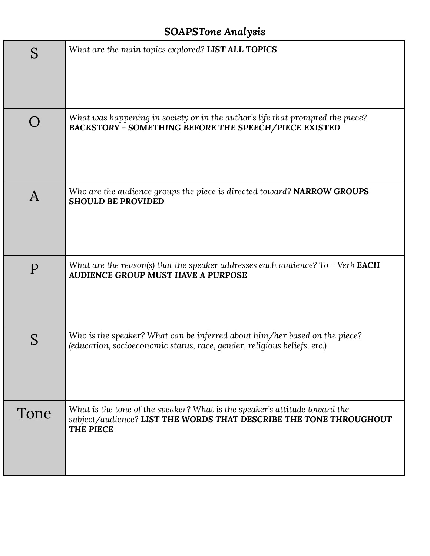# *SOAPSTone Analysis*

| S    | What are the main topics explored? LIST ALL TOPICS                                                                                                                   |
|------|----------------------------------------------------------------------------------------------------------------------------------------------------------------------|
|      | What was happening in society or in the author's life that prompted the piece?<br>BACKSTORY - SOMETHING BEFORE THE SPEECH/PIECE EXISTED                              |
| A    | Who are the audience groups the piece is directed toward? NARROW GROUPS<br><b>SHOULD BE PROVIDED</b>                                                                 |
| P    | What are the reason(s) that the speaker addresses each audience? To + Verb <b>EACH</b><br><b>AUDIENCE GROUP MUST HAVE A PURPOSE</b>                                  |
|      | Who is the speaker? What can be inferred about him/her based on the piece?<br>(education, socioeconomic status, race, gender, religious beliefs, etc.)               |
| Tone | What is the tone of the speaker? What is the speaker's attitude toward the<br>subject/audience? LIST THE WORDS THAT DESCRIBE THE TONE THROUGHOUT<br><b>THE PIECE</b> |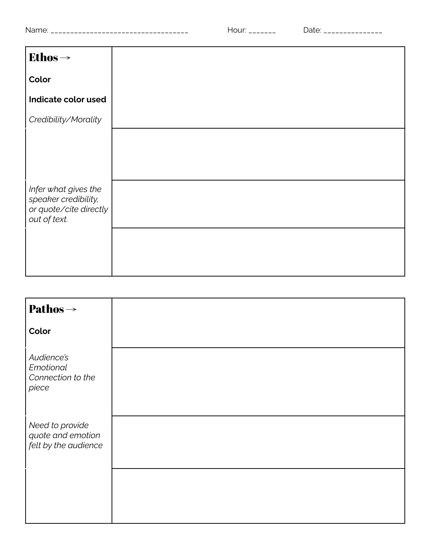| --------------------------------- |
|-----------------------------------|

| Ethos $\rightarrow$                          |
|----------------------------------------------|
| Color                                        |
| Indicate color used                          |
| Credibility/Morality                         |
|                                              |
|                                              |
| Infer what gives the<br>speaker credibility, |
| or quote/cite directly<br>out of text.       |
|                                              |
|                                              |

| <b>Pathos</b> $\rightarrow$                                  |  |
|--------------------------------------------------------------|--|
| Color                                                        |  |
| Audience's<br>Emotional<br>Connection to the<br>piece        |  |
| Need to provide<br>quote and emotion<br>felt by the audience |  |
|                                                              |  |